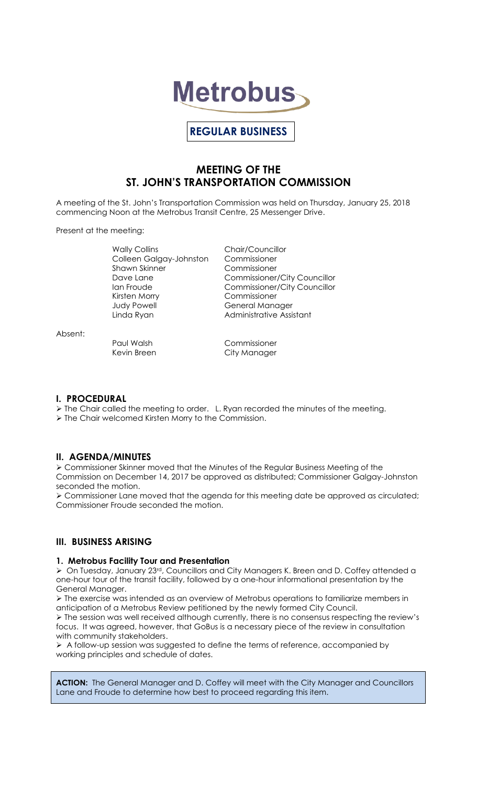

# **REGULAR BUSINESS**

# **MEETING OF THE ST. JOHN'S TRANSPORTATION COMMISSION**

A meeting of the St. John's Transportation Commission was held on Thursday, January 25, 2018 commencing Noon at the Metrobus Transit Centre, 25 Messenger Drive.

Present at the meeting:

Wally Collins **Chair/Councillor** Colleen Galgay-Johnston Commissioner Shawn Skinner Commissioner Kirsten Morry Commissioner Judy Powell **General Manager** 

Dave Lane **Commissioner/City Councillor** Ian Froude **Commissioner/City Councillor** Linda Ryan **Administrative Assistant** 

Absent:

Paul Walsh Commissioner Kevin Breen City Manager

## **I. PROCEDURAL**

- $\triangleright$  The Chair called the meeting to order. L. Ryan recorded the minutes of the meeting.
- The Chair welcomed Kirsten Morry to the Commission.

## **II. AGENDA/MINUTES**

 Commissioner Skinner moved that the Minutes of the Regular Business Meeting of the Commission on December 14, 2017 be approved as distributed; Commissioner Galgay-Johnston seconded the motion.

 Commissioner Lane moved that the agenda for this meeting date be approved as circulated; Commissioner Froude seconded the motion.

# **III. BUSINESS ARISING**

#### **1. Metrobus Facility Tour and Presentation**

▶ On Tuesday, January 23<sup>rd</sup>, Councillors and City Managers K. Breen and D. Coffey attended a one-hour tour of the transit facility, followed by a one-hour informational presentation by the General Manager.

 The exercise was intended as an overview of Metrobus operations to familiarize members in anticipation of a Metrobus Review petitioned by the newly formed City Council.

 $\triangleright$  The session was well received although currently, there is no consensus respecting the review's focus. It was agreed, however, that GoBus is a necessary piece of the review in consultation with community stakeholders.

 A follow-up session was suggested to define the terms of reference, accompanied by working principles and schedule of dates.

**ACTION:** The General Manager and D. Coffey will meet with the City Manager and Councillors Lane and Froude to determine how best to proceed regarding this item.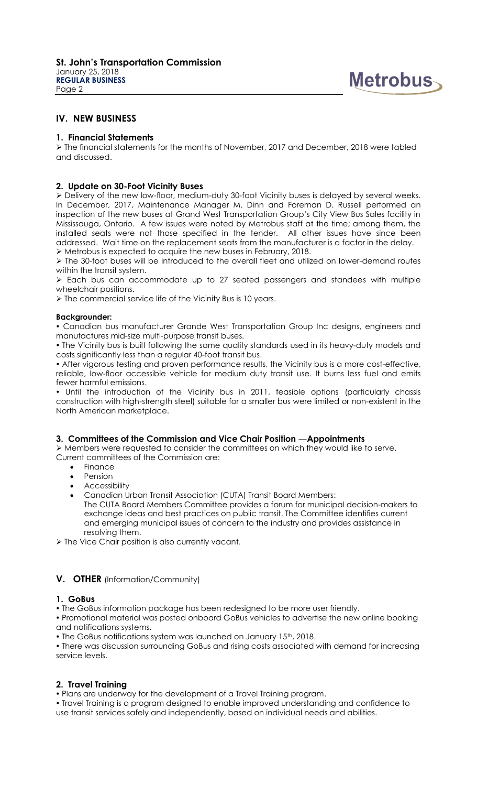# **IV. NEW BUSINESS**

## **1. Financial Statements**

 The financial statements for the months of November, 2017 and December, 2018 were tabled and discussed.

#### **2. Update on 30-Foot Vicinity Buses**

 Delivery of the new low-floor, medium-duty 30-foot Vicinity buses is delayed by several weeks. In December, 2017, Maintenance Manager M. Dinn and Foreman D. Russell performed an inspection of the new buses at Grand West Transportation Group's City View Bus Sales facility in Mississauga, Ontario. A few issues were noted by Metrobus staff at the time; among them, the installed seats were not those specified in the tender. All other issues have since been addressed. Wait time on the replacement seats from the manufacturer is a factor in the delay. Metrobus is expected to acquire the new buses in February, 2018.

 The 30-foot buses will be introduced to the overall fleet and utilized on lower-demand routes within the transit system.

 Each bus can accommodate up to 27 seated passengers and standees with multiple wheelchair positions.

 $\triangleright$  The commercial service life of the Vicinity Bus is 10 years.

#### **Backgrounder:**

 Canadian bus manufacturer Grande West Transportation Group Inc designs, engineers and manufactures mid-size multi-purpose transit buses.

 The Vicinity bus is built following the same quality standards used in its heavy-duty models and costs significantly less than a regular 40-foot transit bus.

 After vigorous testing and proven performance results, the Vicinity bus is a more cost-effective, reliable, low-floor accessible vehicle for medium duty transit use. It burns less fuel and emits fewer harmful emissions.

 Until the introduction of the Vicinity bus in 2011, feasible options (particularly chassis construction with high-strength steel) suitable for a smaller bus were limited or non-existent in the North American marketplace.

#### **3. Committees of the Commission and Vice Chair Position —Appointments**

 Members were requested to consider the committees on which they would like to serve. Current committees of the Commission are:

- Finance
- Pension
- **•** Accessibility
- Canadian Urban Transit Association (CUTA) Transit Board Members:
- The CUTA Board Members Committee provides a forum for municipal decision-makers to exchange ideas and best practices on public transit. The Committee identifies current and emerging municipal issues of concern to the industry and provides assistance in resolving them.

The Vice Chair position is also currently vacant.

# **V. OTHER** (Information/Community)

#### **1. GoBus**

The GoBus information package has been redesigned to be more user friendly.

 Promotional material was posted onboard GoBus vehicles to advertise the new online booking and notifications systems.

• The GoBus notifications system was launched on January 15<sup>th</sup>, 2018.

 There was discussion surrounding GoBus and rising costs associated with demand for increasing service levels.

# **2. Travel Training**

Plans are underway for the development of a Travel Training program.

 Travel Training is a program designed to enable improved understanding and confidence to use transit services safely and independently, based on individual needs and abilities.